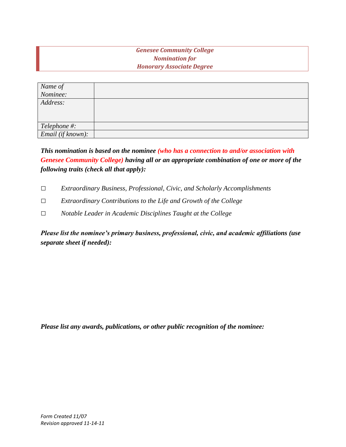## *Genesee Community College Nomination for Honorary Associate Degree*

| Name of<br>Nominee: |  |
|---------------------|--|
|                     |  |
| Address:            |  |
|                     |  |
|                     |  |
| Telephone #:        |  |
| Email (if known):   |  |

## *This nomination is based on the nominee (who has a connection to and/or association with Genesee Community College) having all or an appropriate combination of one or more of the following traits (check all that apply):*

- *□ Extraordinary Business, Professional, Civic, and Scholarly Accomplishments*
- *□ Extraordinary Contributions to the Life and Growth of the College*
- *□ Notable Leader in Academic Disciplines Taught at the College*

*Please list the nominee's primary business, professional, civic, and academic affiliations (use separate sheet if needed):*

*Please list any awards, publications, or other public recognition of the nominee:*